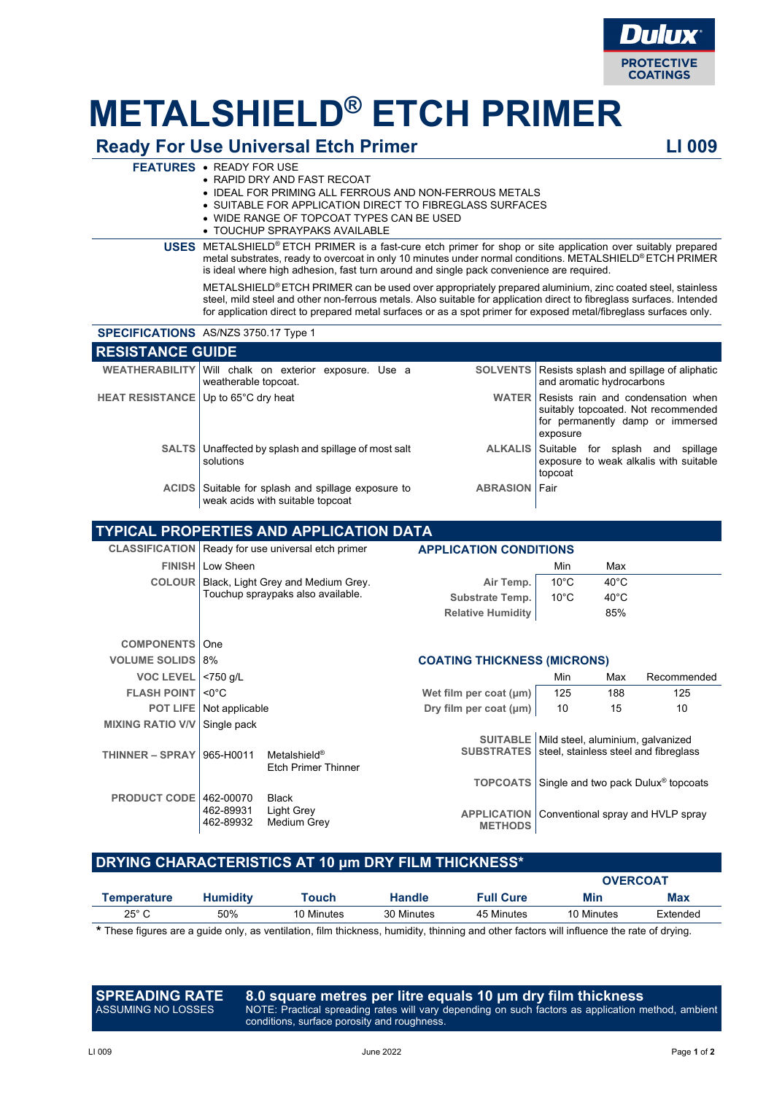

# **METALSHIELD® ETCH PRIMER**

### **Ready For Use Universal Etch Primer LI 009**

#### **FEATURES** • READY FOR USE

- RAPID DRY AND FAST RECOAT
- IDEAL FOR PRIMING ALL FERROUS AND NON-FERROUS METALS
- SUITABLE FOR APPLICATION DIRECT TO FIBREGLASS SURFACES
- WIDE RANGE OF TOPCOAT TYPES CAN BE USED
- TOUCHUP SPRAYPAKS AVAILABLE

**USES** METALSHIELD® ETCH PRIMER is a fast-cure etch primer for shop or site application over suitably prepared metal substrates, ready to overcoat in only 10 minutes under normal conditions. METALSHIELD® ETCH PRIMER is ideal where high adhesion, fast turn around and single pack convenience are required.

METALSHIELD® ETCH PRIMER can be used over appropriately prepared aluminium, zinc coated steel, stainless steel, mild steel and other non-ferrous metals. Also suitable for application direct to fibreglass surfaces. Intended for application direct to prepared metal surfaces or as a spot primer for exposed metal/fibreglass surfaces only.

|                                     | <b>SPECIFICATIONS</b> AS/NZS 3750.17 Type 1                                      |                 |                                                                                                                           |  |  |  |  |  |  |
|-------------------------------------|----------------------------------------------------------------------------------|-----------------|---------------------------------------------------------------------------------------------------------------------------|--|--|--|--|--|--|
| <b>RESISTANCE GUIDE</b>             |                                                                                  |                 |                                                                                                                           |  |  |  |  |  |  |
|                                     | WEATHERABILITY Will chalk on exterior exposure. Use a<br>weatherable topcoat.    | <b>SOLVENTS</b> | Resists splash and spillage of aliphatic<br>and aromatic hydrocarbons                                                     |  |  |  |  |  |  |
| HEAT RESISTANCE Up to 65°C dry heat |                                                                                  | <b>WATER</b>    | Resists rain and condensation when<br>suitably topcoated. Not recommended<br>for permanently damp or immersed<br>exposure |  |  |  |  |  |  |
|                                     | SALTS   Unaffected by splash and spillage of most salt<br>solutions              | <b>ALKALIS</b>  | Suitable for splash and spillage<br>exposure to weak alkalis with suitable<br>topcoat                                     |  |  |  |  |  |  |
| <b>ACIDS</b>                        | Suitable for splash and spillage exposure to<br>weak acids with suitable topcoat | <b>ABRASION</b> | Fair                                                                                                                      |  |  |  |  |  |  |
|                                     |                                                                                  |                 |                                                                                                                           |  |  |  |  |  |  |

|                         |                                          | <b>TYPICAL PROPERTIES AND APPLICATION DATA</b>         |                                      |                                                                            |                |                                                 |  |  |
|-------------------------|------------------------------------------|--------------------------------------------------------|--------------------------------------|----------------------------------------------------------------------------|----------------|-------------------------------------------------|--|--|
|                         |                                          | CLASSIFICATION   Ready for use universal etch primer   |                                      | <b>APPLICATION CONDITIONS</b>                                              |                |                                                 |  |  |
|                         | <b>FINISH   Low Sheen</b>                |                                                        |                                      | Min                                                                        | Max            |                                                 |  |  |
| <b>COLOUR</b>           |                                          | Black, Light Grey and Medium Grey.                     | Air Temp.                            | $10^{\circ}$ C                                                             | $40^{\circ}$ C |                                                 |  |  |
|                         |                                          | Touchup spraypaks also available.                      | <b>Substrate Temp.</b>               | $10^{\circ}$ C                                                             | $40^{\circ}$ C |                                                 |  |  |
|                         |                                          |                                                        | <b>Relative Humidity</b>             |                                                                            | 85%            |                                                 |  |  |
|                         |                                          |                                                        |                                      |                                                                            |                |                                                 |  |  |
| <b>COMPONENTS</b>       | One                                      |                                                        |                                      |                                                                            |                |                                                 |  |  |
| <b>VOLUME SOLIDS</b>    | 8%<br><b>COATING THICKNESS (MICRONS)</b> |                                                        |                                      |                                                                            |                |                                                 |  |  |
| <b>VOC LEVEL</b>        | $< 750$ g/L                              |                                                        |                                      | Min                                                                        | Max            | Recommended                                     |  |  |
| <b>FLASH POINT</b>      | $< 0^{\circ}$ C                          |                                                        | Wet film per coat (µm)               | 125                                                                        | 188            | 125                                             |  |  |
| <b>POT LIFE</b>         | Not applicable                           |                                                        | Dry film per coat (µm)               | 10                                                                         | 15             | 10                                              |  |  |
| <b>MIXING RATIO V/V</b> | Single pack                              |                                                        |                                      |                                                                            |                |                                                 |  |  |
| <b>THINNER – SPRAY</b>  | 965-H0011                                | Metalshield <sup>®</sup><br><b>Etch Primer Thinner</b> | <b>SUITABLE</b><br><b>SUBSTRATES</b> | Mild steel, aluminium, galvanized<br>steel, stainless steel and fibreglass |                |                                                 |  |  |
|                         |                                          |                                                        | <b>TOPCOATS</b>                      |                                                                            |                | Single and two pack Dulux <sup>®</sup> topcoats |  |  |
| <b>PRODUCT CODE</b>     | 462-00070<br>462-89931<br>462-89932      | <b>Black</b><br>Light Grey<br>Medium Grey              | <b>APPLICATION</b><br><b>METHODS</b> | Conventional spray and HVLP spray                                          |                |                                                 |  |  |

#### **DRYING CHARACTERISTICS AT 10 μm DRY FILM THICKNESS\***

|                |                 |            |               |                  | <b>OVERCOAT</b> |            |  |
|----------------|-----------------|------------|---------------|------------------|-----------------|------------|--|
| Temperature    | <b>Humidity</b> | Touch      | <b>Handle</b> | <b>Full Cure</b> | Min             | <b>Max</b> |  |
| $25^{\circ}$ C | 50%             | 10 Minutes | 30 Minutes    | 45 Minutes       | 10 Minutes      | Extended   |  |
|                |                 |            |               |                  |                 |            |  |

These figures are a guide only, as ventilation, film thickness, humidity, thinning and other factors will influence the rate of drying.

**SPREADING RATE**  ASSUMING NO LOSSES

**8.0 square metres per litre equals 10 μm dry film thickness** NOTE: Practical spreading rates will vary depending on such factors as application method, ambient conditions, surface porosity and roughness.